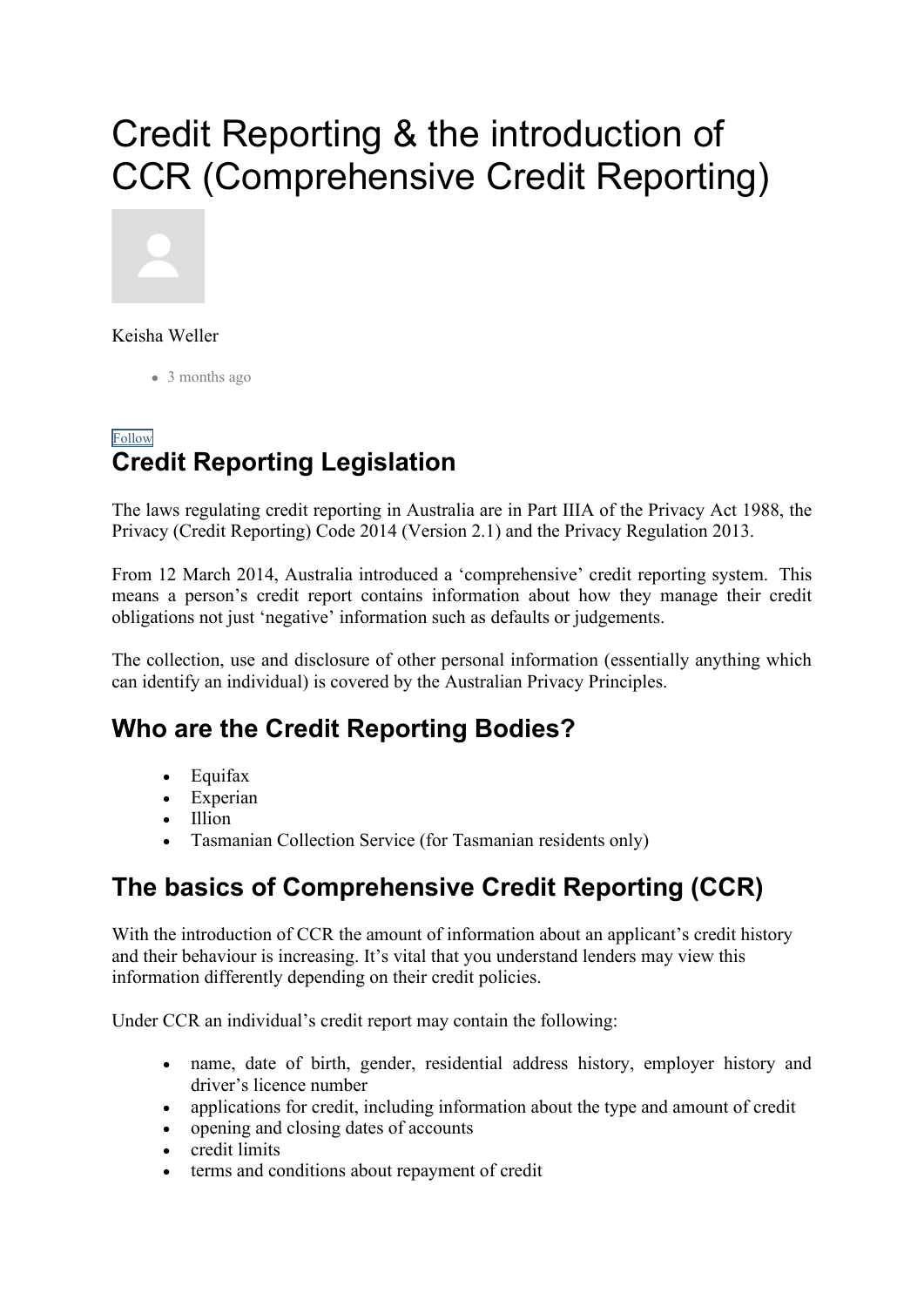# Credit Reporting & the introduction of CCR (Comprehensive Credit Reporting)



Keisha Weller

• 3 months ago

#### [Follow](https://support.connective.com.au/hc/en-us/articles/360043805433-Credit-Reporting-the-introduction-of-CCR-Comprehensive-Credit-Reporting-/subscription.html) **Credit Reporting Legislation**

The laws regulating credit reporting in Australia are in Part IIIA of the Privacy Act 1988, the Privacy (Credit Reporting) Code 2014 (Version 2.1) and the Privacy Regulation 2013.

From 12 March 2014, Australia introduced a 'comprehensive' credit reporting system. This means a person's credit report contains information about how they manage their credit obligations not just 'negative' information such as defaults or judgements.

The collection, use and disclosure of other personal information (essentially anything which can identify an individual) is covered by the Australian Privacy Principles.

### **Who are the Credit Reporting Bodies?**

- Equifax
- Experian
- Illion
- Tasmanian Collection Service (for Tasmanian residents only)

### **The basics of Comprehensive Credit Reporting (CCR)**

With the introduction of CCR the amount of information about an applicant's credit history and their behaviour is increasing. It's vital that you understand lenders may view this information differently depending on their credit policies.

Under CCR an individual's credit report may contain the following:

- name, date of birth, gender, residential address history, employer history and driver's licence number
- applications for credit, including information about the type and amount of credit
- opening and closing dates of accounts
- credit limits
- terms and conditions about repayment of credit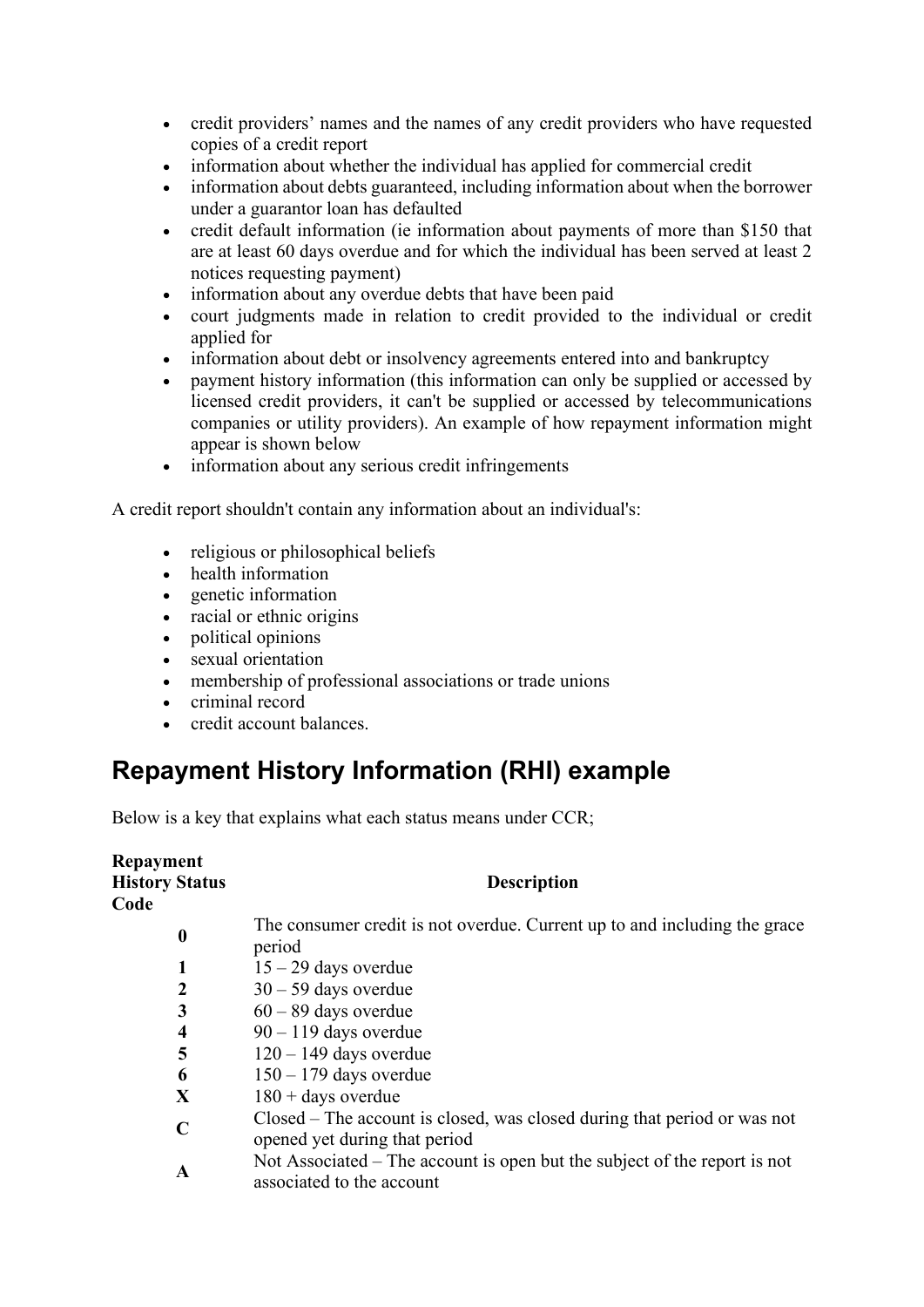- credit providers' names and the names of any credit providers who have requested copies of a credit report
- information about whether the individual has applied for commercial credit
- information about debts guaranteed, including information about when the borrower under a guarantor loan has defaulted
- credit default information (ie information about payments of more than \$150 that are at least 60 days overdue and for which the individual has been served at least 2 notices requesting payment)
- information about any overdue debts that have been paid
- court judgments made in relation to credit provided to the individual or credit applied for
- information about debt or insolvency agreements entered into and bankruptcy
- payment history information (this information can only be supplied or accessed by licensed credit providers, it can't be supplied or accessed by telecommunications companies or utility providers). An example of how repayment information might appear is shown below
- information about any serious credit infringements

A credit report shouldn't contain any information about an individual's:

- religious or philosophical beliefs
- health information
- genetic information
- racial or ethnic origins
- political opinions
- sexual orientation
- membership of professional associations or trade unions
- criminal record
- credit account balances.

#### **Repayment History Information (RHI) example**

Below is a key that explains what each status means under CCR;

| Repayment<br><b>History Status</b><br>Code | <b>Description</b>                                                                                        |
|--------------------------------------------|-----------------------------------------------------------------------------------------------------------|
| $\boldsymbol{0}$                           | The consumer credit is not overdue. Current up to and including the grace<br>period                       |
| 1                                          | $15 - 29$ days overdue                                                                                    |
| $\boldsymbol{2}$                           | $30 - 59$ days overdue                                                                                    |
| 3                                          | $60 - 89$ days overdue                                                                                    |
| $\overline{\mathbf{4}}$                    | $90 - 119$ days overdue                                                                                   |
| 5                                          | $120 - 149$ days overdue                                                                                  |
| 6                                          | $150 - 179$ days overdue                                                                                  |
| X                                          | $180 + days$ overdue                                                                                      |
| $\mathbf C$                                | Closed – The account is closed, was closed during that period or was not<br>opened yet during that period |
| A                                          | Not Associated – The account is open but the subject of the report is not<br>associated to the account    |